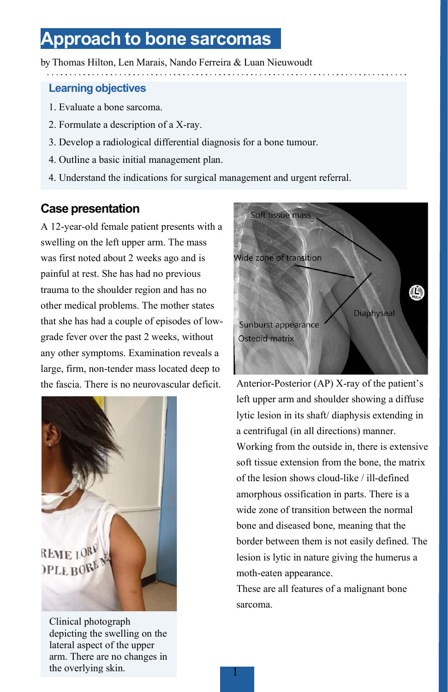# **Approach to bone sarcomas**

by Thomas Hilton, Len Marais, Nando Ferreira & Luan Nieuwoudt

#### **Learning objectives**

- 1. Evaluate a bone sarcoma.
- 2. Formulate a description of a X-ray.
- 3. Develop a radiological differential diagnosis for a bone tumour.
- 4. Outline a basic initial management plan.
- 4. Understand the indications for surgical management and urgent referral.

### **Case presentation**

A 12-year-old female patient presents with a swelling on the left upper arm. The mass was first noted about 2 weeks ago and is painful at rest. She has had no previous trauma to the shoulder region and has no other medical problems. The mother states that she has had a couple of episodes of lowgrade fever over the past 2 weeks, without any other symptoms. Examination reveals a large, firm, non-tender mass located deep to the fascia. There is no neurovascular deficit. Anterior-Posterior (AP) X-ray of the patient's



Clinical photograph depicting the swelling on the lateral aspect of the upper arm. There are no changes in the overlying skin.



left upper arm and shoulder showing a diffuse lytic lesion in its shaft/ diaphysis extending in a centrifugal (in all directions) manner. Working from the outside in, there is extensive soft tissue extension from the bone, the matrix of the lesion shows cloud-like / ill-defined amorphous ossification in parts. There is a wide zone of transition between the normal bone and diseased bone, meaning that the border between them is not easily defined. The lesion is lytic in nature giving the humerus a moth-eaten appearance.

These are all features of a malignant bone sarcoma.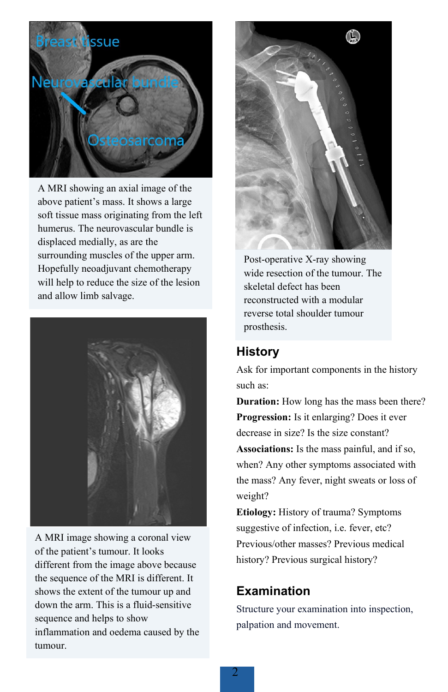

A MRI showing an axial image of the above patient's mass. It shows a large soft tissue mass originating from the left humerus. The neurovascular bundle is displaced medially, as are the surrounding muscles of the upper arm. Hopefully neoadjuvant chemotherapy will help to reduce the size of the lesion and allow limb salvage.



A MRI image showing a coronal view of the patient's tumour. It looks different from the image above because the sequence of the MRI is different. It shows the extent of the tumour up and down the arm. This is a fluid-sensitive sequence and helps to show inflammation and oedema caused by the tumour.



Post-operative X-ray showing wide resection of the tumour. The skeletal defect has been reconstructed with a modular reverse total shoulder tumour prosthesis.

# **History**

Ask for important components in the history such as:

**Duration:** How long has the mass been there? **Progression:** Is it enlarging? Does it ever decrease in size? Is the size constant? **Associations:** Is the mass painful, and if so, when? Any other symptoms associated with the mass? Any fever, night sweats or loss of weight?

**Etiology:** History of trauma? Symptoms suggestive of infection, i.e. fever, etc? Previous/other masses? Previous medical history? Previous surgical history?

# **Examination**

Structure your examination into inspection, palpation and movement.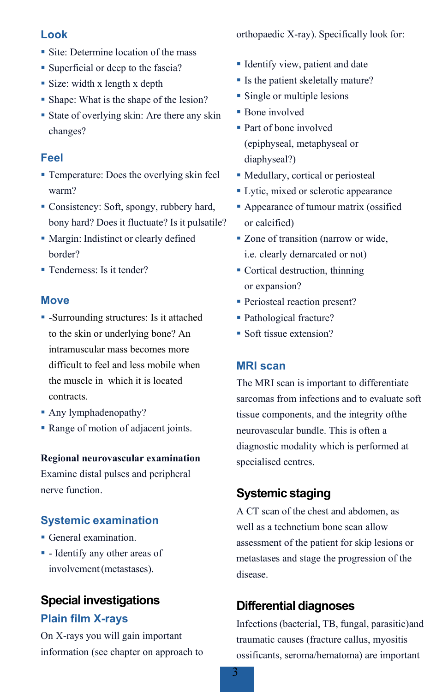#### **Look**

- Site: Determine location of the mass
- Superficial or deep to the fascia?
- Size: width x length x depth
- Shape: What is the shape of the lesion?
- State of overlying skin: Are there any skin changes?

### **Feel**

- Temperature: Does the overlying skin feel warm?
- Consistency: Soft, spongy, rubbery hard, bony hard? Does it fluctuate? Is it pulsatile?
- Margin: Indistinct or clearly defined border?
- Tenderness: Is it tender?

#### **Move**

- -Surrounding structures: Is it attached to the skin or underlying bone? An intramuscular mass becomes more difficult to feel and less mobile when the muscle in which it is located contracts.
- Any lymphadenopathy?
- Range of motion of adjacent joints.

#### **Regional neurovascular examination**

Examine distal pulses and peripheral nerve function.

#### **Systemic examination**

- General examination.
- Identify any other areas of involvement (metastases).

# **Special investigations Plain film X-rays**

On X-rays you will gain important information (see chapter on approach to orthopaedic X-ray). Specifically look for:

- **IDENTIFY View, patient and date**
- Is the patient skeletally mature?
- **Single or multiple lesions**
- **Bone** involved
- Part of bone involved (epiphyseal, metaphyseal or diaphyseal?)
- Medullary, cortical or periosteal
- **Lytic, mixed or sclerotic appearance**
- **Appearance of tumour matrix (ossified** or calcified)
- Zone of transition (narrow or wide, i.e. clearly demarcated or not)
- Cortical destruction, thinning or expansion?
- Periosteal reaction present?
- Pathological fracture?
- Soft tissue extension?

#### **MRI scan**

The MRI scan is important to differentiate sarcomas from infections and to evaluate soft tissue components, and the integrity ofthe neurovascular bundle. This is often a diagnostic modality which is performed at specialised centres.

## **Systemic staging**

A CT scan of the chest and abdomen, as well as a technetium bone scan allow assessment of the patient for skip lesions or metastases and stage the progression of the disease.

# **Differential diagnoses**

Infections (bacterial, TB, fungal, parasitic)and traumatic causes (fracture callus, myositis ossificants, seroma/hematoma) are important